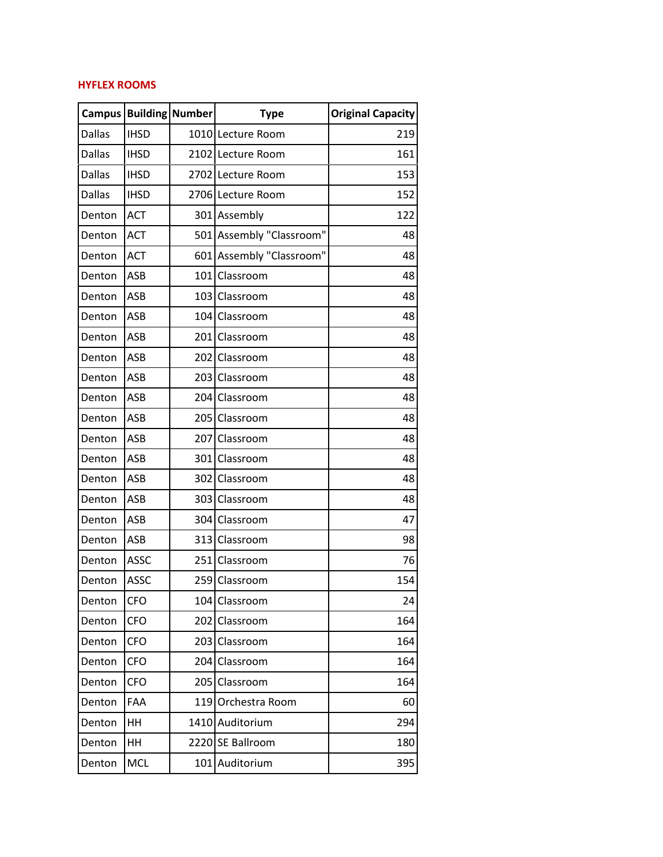## **HYFLEX ROOMS**

| <b>Campus</b> |             | <b>Building Number</b> | <b>Type</b>              | <b>Original Capacity</b> |
|---------------|-------------|------------------------|--------------------------|--------------------------|
| <b>Dallas</b> | <b>IHSD</b> |                        | 1010 Lecture Room        | 219                      |
| <b>Dallas</b> | <b>IHSD</b> |                        | 2102 Lecture Room        | 161                      |
| <b>Dallas</b> | <b>IHSD</b> |                        | 2702 Lecture Room        | 153                      |
| <b>Dallas</b> | <b>IHSD</b> |                        | 2706 Lecture Room        | 152                      |
| Denton        | <b>ACT</b>  |                        | 301 Assembly             | 122                      |
| Denton        | <b>ACT</b>  |                        | 501 Assembly "Classroom" | 48                       |
| Denton        | <b>ACT</b>  |                        | 601 Assembly "Classroom" | 48                       |
| Denton        | ASB         |                        | 101 Classroom            | 48                       |
| Denton        | ASB         |                        | 103 Classroom            | 48                       |
| Denton        | ASB         |                        | 104 Classroom            | 48                       |
| Denton        | ASB         |                        | 201 Classroom            | 48                       |
| Denton        | ASB         |                        | 202 Classroom            | 48                       |
| Denton        | ASB         |                        | 203 Classroom            | 48                       |
| Denton        | ASB         |                        | 204 Classroom            | 48                       |
| Denton        | ASB         |                        | 205 Classroom            | 48                       |
| Denton        | ASB         |                        | 207 Classroom            | 48                       |
| Denton        | ASB         |                        | 301 Classroom            | 48                       |
| Denton        | ASB         |                        | 302 Classroom            | 48                       |
| Denton        | ASB         |                        | 303 Classroom            | 48                       |
| Denton        | ASB         |                        | 304 Classroom            | 47                       |
| Denton        | ASB         |                        | 313 Classroom            | 98                       |
| Denton        | <b>ASSC</b> |                        | 251 Classroom            | 76                       |
| Denton        | <b>ASSC</b> |                        | 259 Classroom            | 154                      |
| Denton        | <b>CFO</b>  |                        | 104 Classroom            | 24                       |
| Denton        | <b>CFO</b>  |                        | 202 Classroom            | 164                      |
| Denton        | <b>CFO</b>  |                        | 203 Classroom            | 164                      |
| Denton        | <b>CFO</b>  | 204                    | Classroom                | 164                      |
| Denton        | <b>CFO</b>  |                        | 205 Classroom            | 164                      |
| Denton        | FAA         |                        | 119 Orchestra Room       | 60                       |
| Denton        | HH          |                        | 1410 Auditorium          | 294                      |
| Denton        | HH          |                        | 2220 SE Ballroom         | 180                      |
| Denton        | <b>MCL</b>  |                        | 101 Auditorium           | 395                      |